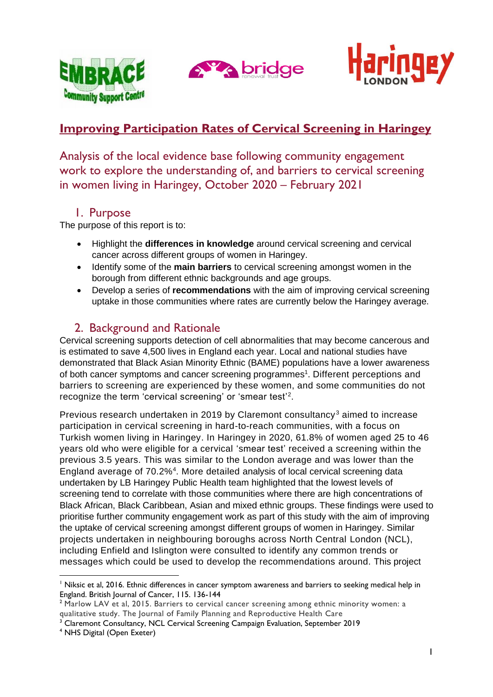





# **Improving Participation Rates of Cervical Screening in Haringey**

Analysis of the local evidence base following community engagement work to explore the understanding of, and barriers to cervical screening in women living in Haringey, October 2020 – February 2021

# 1. Purpose

The purpose of this report is to:

- Highlight the **differences in knowledge** around cervical screening and cervical cancer across different groups of women in Haringey.
- Identify some of the **main barriers** to cervical screening amongst women in the borough from different ethnic backgrounds and age groups.
- Develop a series of **recommendations** with the aim of improving cervical screening uptake in those communities where rates are currently below the Haringey average.

# 2. Background and Rationale

Cervical screening supports detection of cell abnormalities that may become cancerous and is estimated to save 4,500 lives in England each year. Local and national studies have demonstrated that Black Asian Minority Ethnic (BAME) populations have a lower awareness of both cancer symptoms and cancer screening programmes<sup>1</sup>. Different perceptions and barriers to screening are experienced by these women, and some communities do not recognize the term 'cervical screening' or 'smear test'<sup>2</sup>.

Previous research undertaken in 2019 by Claremont consultancy<sup>3</sup> aimed to increase participation in cervical screening in hard-to-reach communities, with a focus on Turkish women living in Haringey. In Haringey in 2020, 61.8% of women aged 25 to 46 years old who were eligible for a cervical 'smear test' received a screening within the previous 3.5 years. This was similar to the London average and was lower than the England average of 70.2%<sup>4</sup>. More detailed analysis of local cervical screening data undertaken by LB Haringey Public Health team highlighted that the lowest levels of screening tend to correlate with those communities where there are high concentrations of Black African, Black Caribbean, Asian and mixed ethnic groups. These findings were used to prioritise further community engagement work as part of this study with the aim of improving the uptake of cervical screening amongst different groups of women in Haringey. Similar projects undertaken in neighbouring boroughs across North Central London (NCL), including Enfield and Islington were consulted to identify any common trends or messages which could be used to develop the recommendations around. This project

<sup>&</sup>lt;sup>1</sup> Niksic et al, 2016. Ethnic differences in cancer symptom awareness and barriers to seeking medical help in England. British Journal of Cancer, 115. 136-144

<sup>&</sup>lt;sup>2</sup> Marlow LAV et al, 2015. Barriers to cervical cancer screening among ethnic minority women: a qualitative study. The Journal of Family Planning and Reproductive Health Care

<sup>3</sup> Claremont Consultancy, NCL Cervical Screening Campaign Evaluation, September 2019

<sup>4</sup> NHS Digital (Open Exeter)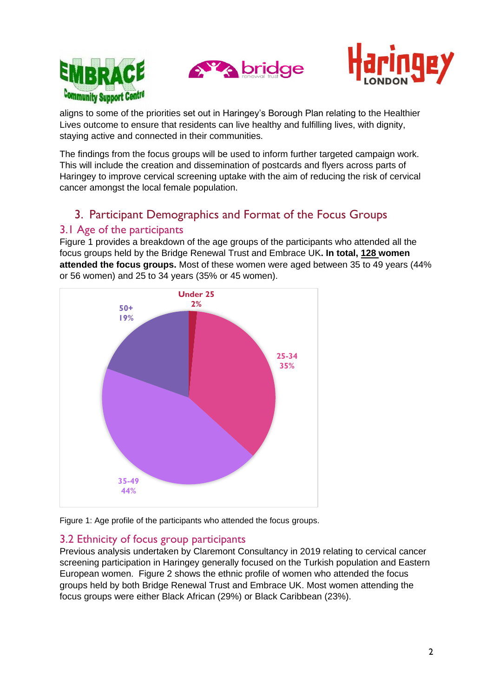





aligns to some of the priorities set out in Haringey's Borough Plan relating to the Healthier Lives outcome to ensure that residents can live healthy and fulfilling lives, with dignity, staying active and connected in their communities.

The findings from the focus groups will be used to inform further targeted campaign work. This will include the creation and dissemination of postcards and flyers across parts of Haringey to improve cervical screening uptake with the aim of reducing the risk of cervical cancer amongst the local female population.

# 3. Participant Demographics and Format of the Focus Groups

## 3.1 Age of the participants

Figure 1 provides a breakdown of the age groups of the participants who attended all the focus groups held by the Bridge Renewal Trust and Embrace UK**. In total, 128 women attended the focus groups.** Most of these women were aged between 35 to 49 years (44% or 56 women) and 25 to 34 years (35% or 45 women).



Figure 1: Age profile of the participants who attended the focus groups.

## 3.2 Ethnicity of focus group participants

Previous analysis undertaken by Claremont Consultancy in 2019 relating to cervical cancer screening participation in Haringey generally focused on the Turkish population and Eastern European women. Figure 2 shows the ethnic profile of women who attended the focus groups held by both Bridge Renewal Trust and Embrace UK. Most women attending the focus groups were either Black African (29%) or Black Caribbean (23%).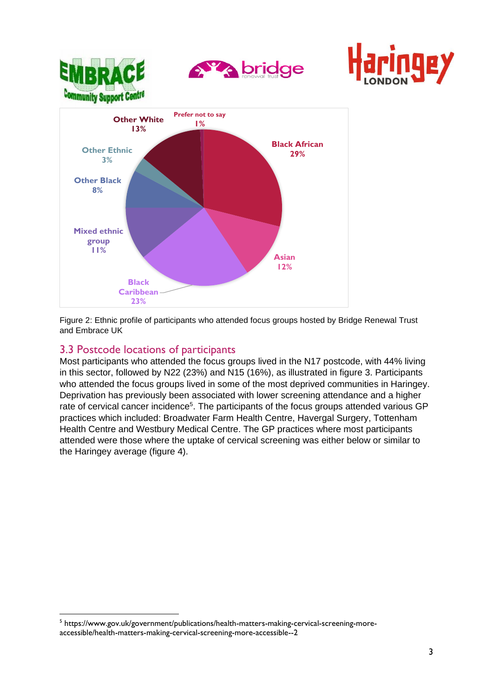

Figure 2: Ethnic profile of participants who attended focus groups hosted by Bridge Renewal Trust and Embrace UK

### 3.3 Postcode locations of participants

Most participants who attended the focus groups lived in the N17 postcode, with 44% living in this sector, followed by N22 (23%) and N15 (16%), as illustrated in figure 3. Participants who attended the focus groups lived in some of the most deprived communities in Haringey. Deprivation has previously been associated with lower screening attendance and a higher rate of cervical cancer incidence<sup>5</sup>. The participants of the focus groups attended various GP practices which included: Broadwater Farm Health Centre, Havergal Surgery, Tottenham Health Centre and Westbury Medical Centre. The GP practices where most participants attended were those where the uptake of cervical screening was either below or similar to the Haringey average (figure 4).

<sup>&</sup>lt;sup>5</sup> https://www.gov.uk/government/publications/health-matters-making-cervical-screening-moreaccessible/health-matters-making-cervical-screening-more-accessible--2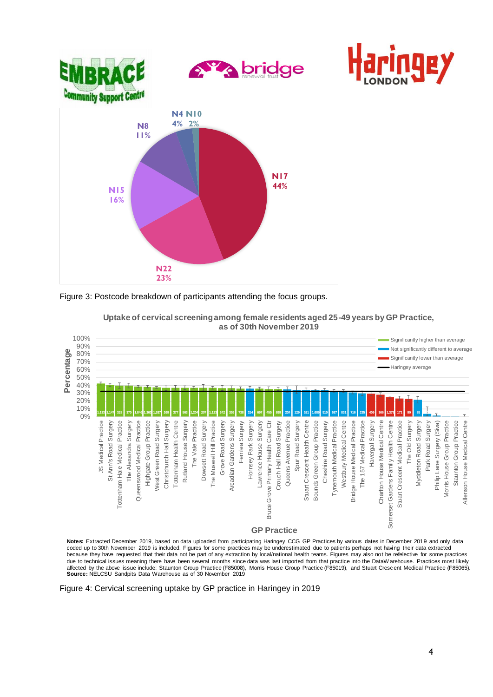





**Uptake of cervical screening among female residents aged 25-49 years by GP Practice, as of 30th November 2019**

**Notes:** Extracted December 2019, based on data uploaded from participating Haringey CCG GP Practices by various dates in December 2019 and only data<br>coded up to 30th November 2019 is included. Figures for some practices m because they have requested that their data not be part of any extraction by local/national health teams. Figures may also not be refelective for some practices due to technical issues meaning there have been several months since data was last imported from that practice into the DataWarehouse. Practices most likely<br>affected by the above issue include: Staunton Group Practice (F85

Figure 4: Cervical screening uptake by GP practice in Haringey in 2019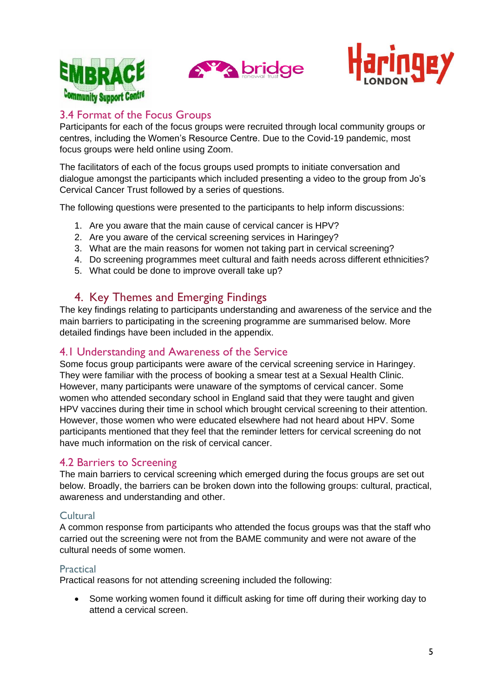





## 3.4 Format of the Focus Groups

Participants for each of the focus groups were recruited through local community groups or centres, including the Women's Resource Centre. Due to the Covid-19 pandemic, most focus groups were held online using Zoom.

The facilitators of each of the focus groups used prompts to initiate conversation and dialogue amongst the participants which included presenting a video to the group from Jo's Cervical Cancer Trust followed by a series of questions.

The following questions were presented to the participants to help inform discussions:

- 1. Are you aware that the main cause of cervical cancer is HPV?
- 2. Are you aware of the cervical screening services in Haringey?
- 3. What are the main reasons for women not taking part in cervical screening?
- 4. Do screening programmes meet cultural and faith needs across different ethnicities?
- 5. What could be done to improve overall take up?

# 4. Key Themes and Emerging Findings

The key findings relating to participants understanding and awareness of the service and the main barriers to participating in the screening programme are summarised below. More detailed findings have been included in the appendix.

### 4.1 Understanding and Awareness of the Service

Some focus group participants were aware of the cervical screening service in Haringey. They were familiar with the process of booking a smear test at a Sexual Health Clinic. However, many participants were unaware of the symptoms of cervical cancer. Some women who attended secondary school in England said that they were taught and given HPV vaccines during their time in school which brought cervical screening to their attention. However, those women who were educated elsewhere had not heard about HPV. Some participants mentioned that they feel that the reminder letters for cervical screening do not have much information on the risk of cervical cancer.

### 4.2 Barriers to Screening

The main barriers to cervical screening which emerged during the focus groups are set out below. Broadly, the barriers can be broken down into the following groups: cultural, practical, awareness and understanding and other.

#### Cultural

A common response from participants who attended the focus groups was that the staff who carried out the screening were not from the BAME community and were not aware of the cultural needs of some women.

#### **Practical**

Practical reasons for not attending screening included the following:

• Some working women found it difficult asking for time off during their working day to attend a cervical screen.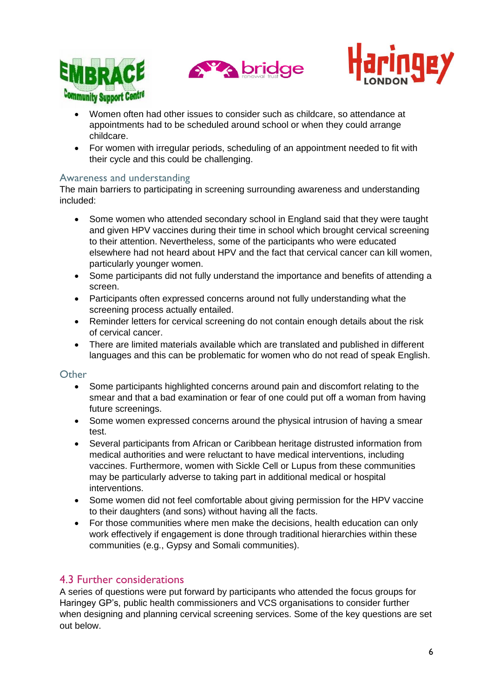





- Women often had other issues to consider such as childcare, so attendance at appointments had to be scheduled around school or when they could arrange childcare.
- For women with irregular periods, scheduling of an appointment needed to fit with their cycle and this could be challenging.

#### Awareness and understanding

The main barriers to participating in screening surrounding awareness and understanding included:

- Some women who attended secondary school in England said that they were taught and given HPV vaccines during their time in school which brought cervical screening to their attention. Nevertheless, some of the participants who were educated elsewhere had not heard about HPV and the fact that cervical cancer can kill women, particularly younger women.
- Some participants did not fully understand the importance and benefits of attending a screen.
- Participants often expressed concerns around not fully understanding what the screening process actually entailed.
- Reminder letters for cervical screening do not contain enough details about the risk of cervical cancer.
- There are limited materials available which are translated and published in different languages and this can be problematic for women who do not read of speak English.

#### **Other**

- Some participants highlighted concerns around pain and discomfort relating to the smear and that a bad examination or fear of one could put off a woman from having future screenings.
- Some women expressed concerns around the physical intrusion of having a smear test.
- Several participants from African or Caribbean heritage distrusted information from medical authorities and were reluctant to have medical interventions, including vaccines. Furthermore, women with Sickle Cell or Lupus from these communities may be particularly adverse to taking part in additional medical or hospital interventions.
- Some women did not feel comfortable about giving permission for the HPV vaccine to their daughters (and sons) without having all the facts.
- For those communities where men make the decisions, health education can only work effectively if engagement is done through traditional hierarchies within these communities (e.g., Gypsy and Somali communities).

### 4.3 Further considerations

A series of questions were put forward by participants who attended the focus groups for Haringey GP's, public health commissioners and VCS organisations to consider further when designing and planning cervical screening services. Some of the key questions are set out below.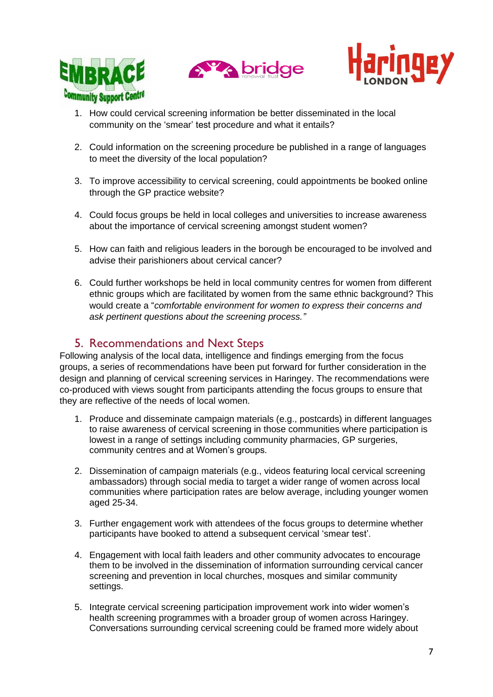





- 1. How could cervical screening information be better disseminated in the local community on the 'smear' test procedure and what it entails?
- 2. Could information on the screening procedure be published in a range of languages to meet the diversity of the local population?
- 3. To improve accessibility to cervical screening, could appointments be booked online through the GP practice website?
- 4. Could focus groups be held in local colleges and universities to increase awareness about the importance of cervical screening amongst student women?
- 5. How can faith and religious leaders in the borough be encouraged to be involved and advise their parishioners about cervical cancer?
- 6. Could further workshops be held in local community centres for women from different ethnic groups which are facilitated by women from the same ethnic background? This would create a "*comfortable environment for women to express their concerns and ask pertinent questions about the screening process."*

# 5. Recommendations and Next Steps

Following analysis of the local data, intelligence and findings emerging from the focus groups, a series of recommendations have been put forward for further consideration in the design and planning of cervical screening services in Haringey. The recommendations were co-produced with views sought from participants attending the focus groups to ensure that they are reflective of the needs of local women.

- 1. Produce and disseminate campaign materials (e.g., postcards) in different languages to raise awareness of cervical screening in those communities where participation is lowest in a range of settings including community pharmacies, GP surgeries, community centres and at Women's groups.
- 2. Dissemination of campaign materials (e.g., videos featuring local cervical screening ambassadors) through social media to target a wider range of women across local communities where participation rates are below average, including younger women aged 25-34.
- 3. Further engagement work with attendees of the focus groups to determine whether participants have booked to attend a subsequent cervical 'smear test'.
- 4. Engagement with local faith leaders and other community advocates to encourage them to be involved in the dissemination of information surrounding cervical cancer screening and prevention in local churches, mosques and similar community settings.
- 5. Integrate cervical screening participation improvement work into wider women's health screening programmes with a broader group of women across Haringey. Conversations surrounding cervical screening could be framed more widely about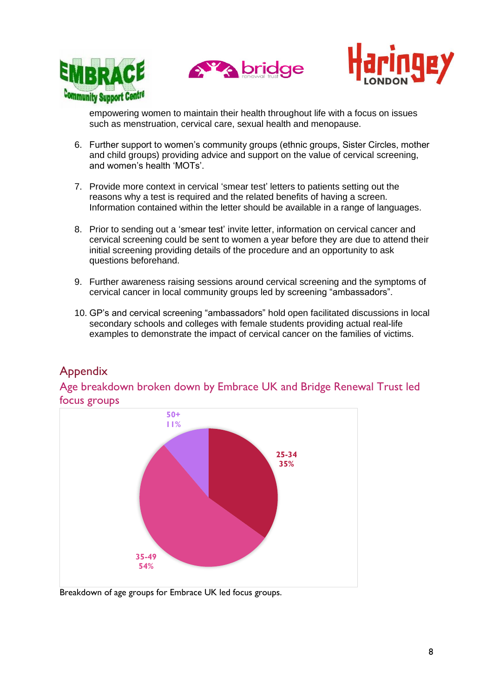





empowering women to maintain their health throughout life with a focus on issues such as menstruation, cervical care, sexual health and menopause.

- 6. Further support to women's community groups (ethnic groups, Sister Circles, mother and child groups) providing advice and support on the value of cervical screening, and women's health 'MOTs'.
- 7. Provide more context in cervical 'smear test' letters to patients setting out the reasons why a test is required and the related benefits of having a screen. Information contained within the letter should be available in a range of languages.
- 8. Prior to sending out a 'smear test' invite letter, information on cervical cancer and cervical screening could be sent to women a year before they are due to attend their initial screening providing details of the procedure and an opportunity to ask questions beforehand.
- 9. Further awareness raising sessions around cervical screening and the symptoms of cervical cancer in local community groups led by screening "ambassadors".
- 10. GP's and cervical screening "ambassadors" hold open facilitated discussions in local secondary schools and colleges with female students providing actual real-life examples to demonstrate the impact of cervical cancer on the families of victims.

# Appendix

Age breakdown broken down by Embrace UK and Bridge Renewal Trust led focus groups



Breakdown of age groups for Embrace UK led focus groups.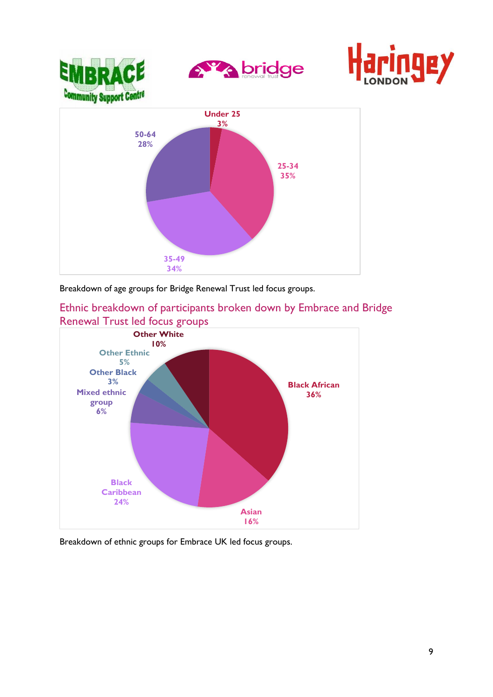



Ethnic breakdown of participants broken down by Embrace and Bridge Renewal Trust led focus groups



Breakdown of ethnic groups for Embrace UK led focus groups.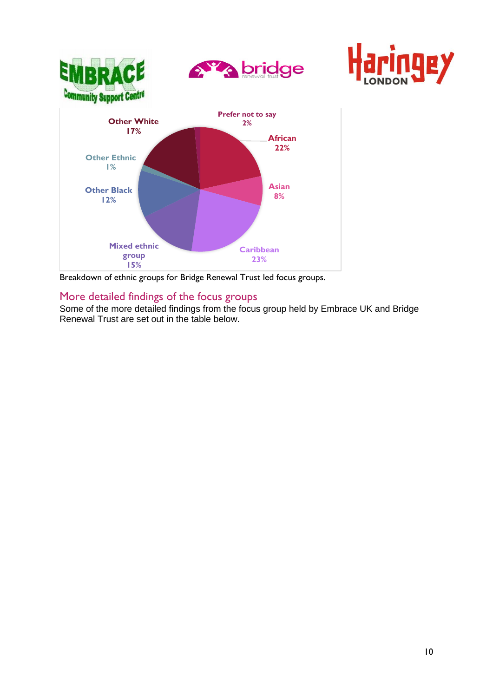

Breakdown of ethnic groups for Bridge Renewal Trust led focus groups.

# More detailed findings of the focus groups

Some of the more detailed findings from the focus group held by Embrace UK and Bridge Renewal Trust are set out in the table below.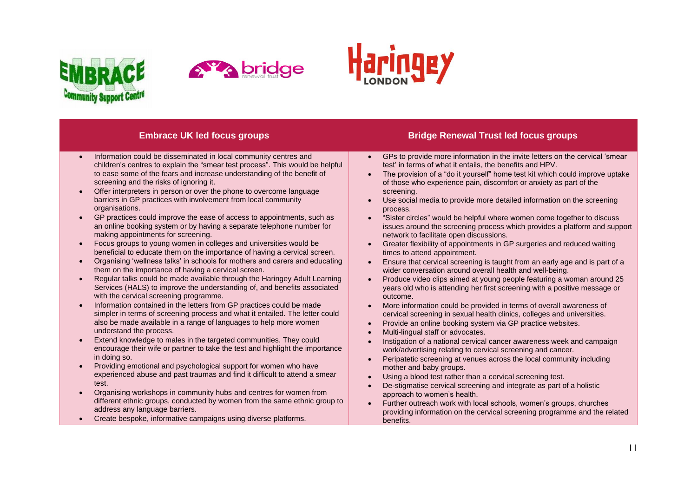





- Information could be disseminated in local community centres and children's centres to explain the "smear test process". This would be helpful to ease some of the fears and increase understanding of the benefit of screening and the risks of ignoring it.
- Offer interpreters in person or over the phone to overcome language barriers in GP practices with involvement from local community organisations.
- GP practices could improve the ease of access to appointments, such as an online booking system or by having a separate telephone number for making appointments for screening.
- Focus groups to young women in colleges and universities would be beneficial to educate them on the importance of having a cervical screen.
- Organising 'wellness talks' in schools for mothers and carers and educating them on the importance of having a cervical screen.
- Regular talks could be made available through the Haringey Adult Learning Services (HALS) to improve the understanding of, and benefits associated with the cervical screening programme.
- Information contained in the letters from GP practices could be made simpler in terms of screening process and what it entailed. The letter could also be made available in a range of languages to help more women understand the process.
- Extend knowledge to males in the targeted communities. They could encourage their wife or partner to take the test and highlight the importance in doing so.
- Providing emotional and psychological support for women who have experienced abuse and past traumas and find it difficult to attend a smear test.
- Organising workshops in community hubs and centres for women from different ethnic groups, conducted by women from the same ethnic group to address any language barriers.
- Create bespoke, informative campaigns using diverse platforms.

#### **Embrace UK led focus groups Bridge Renewal Trust led focus groups**

- GPs to provide more information in the invite letters on the cervical 'smear test' in terms of what it entails, the benefits and HPV.
- The provision of a "do it yourself" home test kit which could improve uptake of those who experience pain, discomfort or anxiety as part of the screening.
- Use social media to provide more detailed information on the screening process.
- "Sister circles" would be helpful where women come together to discuss issues around the screening process which provides a platform and support network to facilitate open discussions.
- Greater flexibility of appointments in GP surgeries and reduced waiting times to attend appointment.
- Ensure that cervical screening is taught from an early age and is part of a wider conversation around overall health and well-being.
- Produce video clips aimed at young people featuring a woman around 25 years old who is attending her first screening with a positive message or outcome.
- More information could be provided in terms of overall awareness of cervical screening in sexual health clinics, colleges and universities.
- Provide an online booking system via GP practice websites.
- Multi-lingual staff or advocates.
- Instigation of a national cervical cancer awareness week and campaign work/advertising relating to cervical screening and cancer.
- Peripatetic screening at venues across the local community including mother and baby groups.
- Using a blood test rather than a cervical screening test.
- De-stigmatise cervical screening and integrate as part of a holistic approach to women's health.
- Further outreach work with local schools, women's groups, churches providing information on the cervical screening programme and the related benefits.